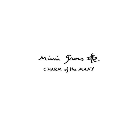Mini gross effe.

CHARM of the MANY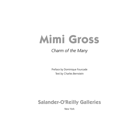# **Mimi Gross**

# *Charm of the Many*

Preface by Dominique Fourcade Text by Charles Bernstein

# **Salander-O'Reilly Galleries**

New York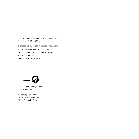This catalogue accompanies an exhibition from September 5–28, 2002 at

# **Salander-O'Reilly Galleries, LLC**

20 East 79 Street New York, NY 10021 Tel (212) 879-6606 Fax (212) 744-0655 www.salander.com Monday–Saturday 9:30 to 5:30



© 2002 Salander-O'Reilly Galleries, LLC ISBN: 0 -158821-110-X

Photography: Paul Waldman Design: Lawrence Sunden, Inc. Printing: The Studley Press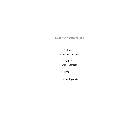# **TABLE OF CONTENTS**

Preface 7 Dominique Fourcade

Mimi Gross 9 Charles Bernstein

Plates 21

Chronology 42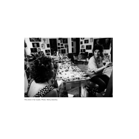

The artist in her studio. Photo: Henry Jesionka.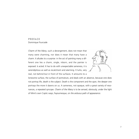## **PREFACE** Dominique Fourcade

*Charm of the Many*, such a derangement, does not mean that many were charming, nor does it mean that many have a charm. It alludes to a surprise: in the act of painting many a different one lies a charm, single, inborn, and the painter is exposed. Is acted. It has to do with unexpectable sameness, it is serendipitous as well as recalcitrant and alarming. It lurks, very real, not behind but in front of the surfaces. It amounts to a



lonesome surface, the surface of portraiture, and deals with an absence, because one does not portray life, death is the subject. Death is the component and the span, the deeper one portrays the more it dawns on us. A sameness, not opaque, with a great variety of resonances, a repeated syncope. *Charm of the Many* is to be sensed, obviously, under the light of Mimi's own Coptic ways, Fayoumesque, on *the arduous path of appearance*.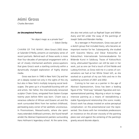# **Mimi Gross**

Charles Bernstein

#### **An Uncompleted Portrait**

"An object magic as a private face" — Edwin Denby

CHARM OF THE MANY, Mimi Gross's 2002 show at Salander-O'Reilly, presents an exemplary series of recent portraits. Behind each of these works is more than four decades of perceptual engagement with a set of closely intertwined aesthetic preoccupations that gives Gross's work a startling continuity within a dynamically charged exploration of highly diverse media.

Gross was born in 1940 in New York City and her art is deeply rooted not only in the sights of the city but also in New York's multiply torquing social landscapes. She grew up in a household bursting with art and artists. Her father, the internationally renowned sculptor Chaim Gross, emigrated from Eastern Europe twenty years before Mimi was born. Chaim was a voracious collector of African and Oceanic art and this work surrounded Mimi from her earliest childhood, permeating every corner of her aesthetic unconscious. In Provincetown, Massachusetts, where she spent many extended childhood summers, she found herself amidst the Abstract Expressionist painters surrounding Hans Hofmann's legendary school. At the same time, she also met artists such as Raphael Soyer and Milton Avery and fell under the sway of the paintings of Joseph Stella and Marsden Hartley.

As a teenager in Provincetown, Gross was part of a sketch group that included Avery, who became an important mentor for her. Subsequently, she studied with Giacomo Manzu and Oskar Kokoschka at Kokoschka's Internationale Sommerakademie für Bildende Kunst in Salzburg. Traces of Kokoschka's nervy, attenuated figuration can still be seen in her work, just as one can find a touch of Emil Nolde and Ludwig Kirchner, as Gross told me in a series of conversations we had at her White Street loft, as she worked on a portrait of my son Felix and me in the sweltering summers of 2001 and 2002.

Coming to her own as a painter in the age of Abstract Expressionism, Gross has been a leading figure of the "third way" between figurative and nonrepresentational painting. Abjuring a return to imageintensive painting as a means of reestablishing a stable figure/ground relationship (the scenic mode), Gross's work has always insisted on active perceptual complication: on the presentational over the represented. She shares with her immediate predecessors an insistence on the all-over viscosity of the painting plane over and against the centering of the painting's gravity around discrete objects.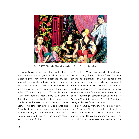

*Dark Air,* 1980–81 (detail). Oil on mixed media, 9' x 9'10" x 3'. Photo: James Dee.

While Gross's imagination of her work is that it is outside the established generational and conceptual groupings that have emerged from the New York artworld, there are clear affinities, in her accounting, with older artists like Alice Neel and Fairfield Porter and a particular set of contemporaries that includes Robert Whitman, Judy Pfaff, Yvonne Jacquette, Susan Rothenberg, Elizabeth Murray, David Hockney, Bob Thompson, Jay Milder, Mary Frank, Josef Koudelka, and Risaku Suzuki. Above all, Gross expresses her connection to the poet and dance critic Edwin Denby and the photographer and filmmaker Rudy Burckhardt, both of whose preternatural observational insight and informalism (in Adorno's sense) are crucial models for her.

CENTRAL TO Mimi Gross's project is the rhetorically marked building of pictorial depth-of-field. The threedimensional explorations of Gross's paintings and sculptures extends from her installations, starting with *Fat Feet* in 1965, in which she and Red Grooms, together with their many collaborators, built a life-size set of a street scene for the animated movie, and on to the increasingly complex installations *City of Chicago* (1967–68)*, Discount Store* (1970)*,* and ultimately *Ruckus Manhattan* (1975–76).

Making *Ruckus Manhattan* was a dream come true, Gross says. "I got to do a lot of things I had wanted to do all my life. Since I was in high school I wanted to do a life-size subway and a life-size street, but I didn't think I would ever have the chance." One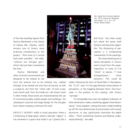of the free-standing figures from *Ruckus Manhattan* is the Statue of Liberty (*Ms. Liberty*), which remains one of Gross's most enduring contributions to the project. "And none of it would have been possible," she adds, "without our hot-glue gun," which had just been invented at the time.

*Ruckus Manhattan* and other of Gross's environments are designed to be looked at not

from the exterior but to be entered into, walked through; to be viewed not only from all around, as with a sculpture, but from the "other side" of even sculpture's fourth wall: from the inside out. Like Gross's work in other media, these works are characterized by the use of incommensurably scaled people and buildings. Her subsequent costume and stage design for the Douglas Dunn dance company continues this work.

GROSS'S WORKS traffic in visual saturation: there is a thickening of deep space, where a discrete "object" is not centered in a space that holds it up ("gravity like a called, following the term of David Marr in *Perception*, the "21 ⁄2-D" view. It's the gap between these planes of perception, or the toggling between them, that Fourcade, in the preface to this catalog, calls Gross's "syncope."

"It's remarkable how even the slightest indication of three dimensions makes something appear three-dimensional," Gross explains, noting that even a slight building up off the two-dimensional pictorial plane with wood, aluminum, or clay, significantly intensifies the depth effect. "That's something Cézanne and Matisse understood perfectly," she adds.

*Ms. Liberty* from *Ruckus Manhattan*, 1975. Enamel on fiberglass and celastic, 15' x 10' x 10'. Photo: Robert Mates.

dull thud," she notes wryly) but where the space itself thickens and becomes objectlike. This thickening of perception is a fundamental characteristic of her paintings.

The three-dimensional or stereo perception in Gross's work is built from the superimposition or array of 2-D "shots" or planes. ("I love misregistration," Gross exclaims.) This could be

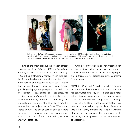

Left to right: *O'Neals' "New Room,"* restaurant room installation, 1979 (detail), acrylic on linen, laminated on wood, detail, 6' x 3', photo: Jacob Burckhardt. *Karole Armitage*, 1982 (detail), plexiglass, acrylic on gatorboard. *Sacred & Profane (Karole Armitage)*, acrylic and crayon on mixed media, 9' x 3'9" x 4'6".

Two of the most pronounced "depth effect" sculptures are *Jodie ElBaum* (1980) and *Sacred and Profane*, a portrait of the dancer Karole Armitage (1982): their protrudingly narrow, hyper-deep profiles forcing the viewer to dynamically readjust focus in the face as an unsettled object in space, rather than to stare at a fixed, stable, solid image. Gross's grappling with projective perception is related to the investigation of how perception takes place, her constant remaking/remapping of the illusion of three-dimensionality through the modeling and remodeling of the materiality of vision. (From this perspective, the projectivity in *Jodie ElBaum* and *Sacred and Profane* can be seen as akin to Richard Foreman's use of triple-deep and quite narrow stage in his productions of the same period, such as *Rhoda in Potatoland*.)

Gross's projective elongation, her stretching perspective as if it were elastic rather than logic, connects to the long counter-tradition to Renaissance perspective. In this sense, her projectivism is the counter to foreshortening.

MIMI GROSS'S APPROACH to art is grounded in continuous drawing. From this foundation, she has constructed film sets, created large-scale installations, designed stage sets and costumes, fabricated sculptures, and produced a large body of paintings. Her portraits and landscapes make perceptually visceral both temporal and spatial depth. Taken as a whole, in its variety of media and scales, her work is a utopian epic of everyday life: an incrementally expanding diorama poised at the ever-shifting heart of appearance.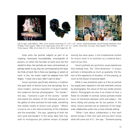

Left to right: *Jodie ElBaum*, 1981*,* oil on ceramic stoneware,15" x 24" x 22", photo: Jacob Burckhardt. *Ira and George Gershwin*, from O'Neals' Times Square, 1984, oil on inlaid acrylic mirror, 40" x 41"x 1 ⁄2", photo: James Dee. *So Long, Times Square,* from O'Neals' Times Square, 1986, oil on linen, 8' x 14', photo: Ruth Siegel Ltd., NY.

Gross picks her portrait subjects as part of an ongoing, necessarily incompletable, encyclopedia of persons, on which she has been at work since she first started to draw. Her portraits are never commissioned, or perhaps better to say, they are commissioned by the faces she finds at hand. Nor is there any typology or system at work. In this, her motto might be adapted from Will Rogers: "I never met a face I didn't want to draw."

Gross's portraits specifically reference a tradition that goes back to Roman busts and sarcophagi. But a more modern, and key inspiration is August Sander, the modernist German photographer. "For Sander," she says, "everyone is part of the society." Sander articulated the relation of the individual portrait to the gallery of other portraits he had made, something that relates closely to Gross's own project. "What's crucial to me is the interconnectivity of the individual and the ensemble," she says, speaking of both her own work and Sander's. In this sense, New York City, with its incongruous yet sublime mosaic of people sharing the same space, is the fundamental context for Gross's work in its evolution as a material document of our time.

Gross's portraits are synchronic visual experiences that embody time. The "third dimension" in Gross's portraits is temporality as much as spatiality: the illusion of the experience of duration, of time passing, as much as the illusion of pictorial depth.

While it may sometimes seem as if the art portrait has largely been replaced in the late twentieth century by photography, the nature of the two media remains distinct. Photographs are shot in an instant of time, a flicker of a shudder. In contrast, Gross's portraits involve hours of interaction between artist and subject – the terms *sitting* and *posing* are far too passive. In this sense, Gross's portraits are an extension of her largescale collaborative works into a more intimate setting.

"What I love about collaboration is that each person brings in their own part and you don't know what will come out of it," she says. "Someone posing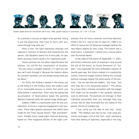

*Soldiers (Eight American Servicemen Die In Iran)*, 1980, glazed majolica on stoneware, 24" x 24" x 6"each.

for a portrait is not just an object to be painted. Sitting is just the beginning: they have to focus with you, move through time with you."

After a time, the right expression emerges and captures a moment of likeness that characterizes the person. Like Flaubert's search for *le mot juste,* for aesthetic accuracy, Gross's quest is for *l'expression juste.*

Gross's portraits are not about objectification but relation, not still-life but visualization of duration. "You are using a unstable material—if it gets too wet you can't work through it. Because the medium allows for constant transition, you are always losing what you set down."

For Gross, the finding is always in the losing, just as the losing is in the finding. Every new stroke is part of an irrevocable process in which that which was there before is overwritten. That's why the laying (the accumulation of observations) keeps the painting abstract (material) while the overall image slowly gels.

*Soldiers* (1980) is a touchstone work for any consideration of Gross's ongoing engagement with portraits. These eight glazed stoneware bas reliefs were made for the Times Square Show's "War and Death" room. Initially, Gross made eight charcoal drawings, based on *Time* magazine photos of the eight com-

mandos (five Air Force crewmen and three Marines) killed in the U.S. raid on Iran on April 25, 1980 in an effort to rescue the 52 American hostages held by the new Islamic regime for over a year. The mission was a total fiasco: a helicopter crashed into a rescue plane over the Iranian desert.

In the wake of the events of September 11, 2001, and Gross's extensive work of drawing in and around the site of the wreck, an heroic dimension of "Soldiers" may supercede the more ambivalent reaction of twenty years ago. But Gross's interest is in creating figurative, historical images without letting the iconized political message negate the particularity of the portraits. "You can see they are soldiers," she notes, "but who they are is not necessarily explicit." This allows for a more direct, intimate connection with the images that might not be possible if the symbolic element were to dominate. The portraits are stronger in their individual personality than any message they may convey. Not an idea illustrated but the reality of this person, this bit of molded clay.

"I was using just the slab of wet clay," Gross recalls. "The medium was new to me. I was using aluminum and paper a lot at the time—and I wanted to have that feeling of lightness, especially in the way,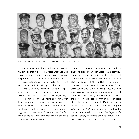

Honoring the Rescuers, 2001, charcoal on paper, 44<sup>1</sup>/<sub>2</sub>" x 101", photo: Paul Waldman.

say, aluminum bends but holds its shape. But they said you can't do that in clay!" The effect Gross was after is most pronounced in the unevenness of the surface, the protruding hats, the plunging depth effect of the thin faces, that brings to mind masks, on the one hand, and expressionist paintings, on the other.

Gross's aversion to the symbolic eclipsing the particular in *Soldiers* applies to her other portraits as well. "My portraits could be of anyone—people you might feel you know or, after spending some time with them, that you get to know," she says. In those cases where the subject of her portraits might indeed be well-known, and so might carry some symbolic baggage with their name, Gross is, as with *Soldiers*, committed to having the encounter begin with what is seen not with what is known.

CHARM OF THE MANY features a several works on black backgrounds, in which Gross takes a technique perhaps most associated with Venetian painters such as Tintoretto and makes it new. Her first work on black was done in 1981 for O'Neals' restaurant near Carnegie Hall. She drew with pastels a series of direct observational portraits on the walls painted with black latex mixed with sandground (unfortunately, the work did not survive the closing of the restaurant). In 1982, she did her first large-scale portrait on black, on paper, of the dancer Joseph Lennon. In 1988, she used the technique for a darkly expressive political purpose. *Whose Fuckin' Park*, a highly dramatic work with a composition based on Poussin's *The Rape of the Sabine Women*, with indigo and black ground; it was made to commemorate the sometimes violent protests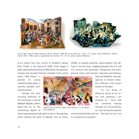

Left to right: *Rape of Sabine Women, after N. Poussin*, 1986–89, oil on wood, 32" x 46" x 17", photo: James Williamson. *Whose Fuckin' Park?*, 1989*,* acrylic on gatorboard and wood, 5'6" x 9' x 9', photo: James Williamson.

(a.k.a. police riot) over control of Tompkins Square Park. Finally, in the Spring of 2000, Gross began a direct-observational portrait of Billy Klüver, the physicistinventor and art-event historian. Included in the current

show, "Billy Klüver," is painted on canvas coated by black gesso, a recently available commercial product.

Perhaps the most stunning extension of this technique is *Sara & Rebekah Maysles, Fisher's Island* (cat. no. 3). The shimmering depths of



*Market, Port au Prince*, 2000*,* oil on canvas, 6' x 10', photo: Paul Waldman.

Gross's panoramas are fully open to view in this painting, which extends the work of *Market*, *Port au Prince*

and she painted Felix and me. "The point of art is not to succeed but to proceed."

(2000), an equally dazzling, hallucinogenic tour-deforce in her last show. Toggling between the 3-D and 2-D, portrait and landscape, foreground and background, classic and romantic, figurative and abstract,

> *Sara and Rebekah* uses perspective to foment refraction, diffusion, and crystallization of the light.

> "I'm not afraid of failing by going as far as I can with anything I am working on," Gross told me, sometime midway through our conversations, as I was writing this portrait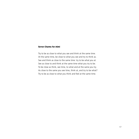#### **Seven Charms for Mimi**

Try to be as close to what you see and think at the same time. At the same time, be close to what you see and try to think as. See and think as close to the same time: try to be what you at. See as close to and think at the same time what you try to be. To be close as think, see time, to what and at the same you try. As close to the same you see time, think at, and try to be what? Try to be as close to what you think and feel at the same time.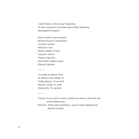*A Brief History of Non-Linear Perspective, Or How I Learned to Love Deep Space While Skewering Rationalized Perception*

Paolo Uccello's torque & spears Nicholas Poussin's neoclassicism Courbet's wetness Delacroix's color Manet's sleight of hand Cézanne's volume Picasso's ingenuity Giacometti's negative space Matisse's lightness

*I'm totally an abstract artist An abstract artist totally, I'm Totally abstract, I'm an artist Abstract, totally I'm, artist Totally artist, I'm, abstract*

Classical: *If you want to catch a moment you have to strip time and sentimentality away*. Romantic: *Purely what something is, awe of nature (appearance) beyond ourselves.*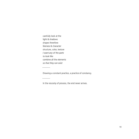carefully look at the light & shadows shapes therefore likeness & character structure, color, texture *I want any of the parts to look like* combine all the elements *so that they can exist*

Drawing a constant practice, a practice of constancy.

In the viscosity of process, the end never arrives.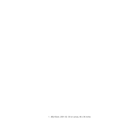1. *Billy Klüver*, 2001–02*.* Oil on canvas, 46 x 36 inches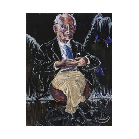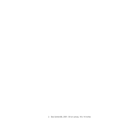2. *Tara Somerville*, 2001*.* Oil on canvas, 18 x 14 inches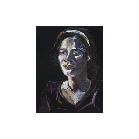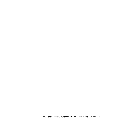3. *Sara & Rebekah Maysles, Fisher's Island,* 2002. Oil on canvas, 56 x 84 inches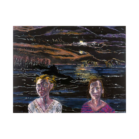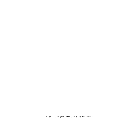4. *Terance O'Dougherty*, 2002*.* Oil on canvas, 14 x 18 inches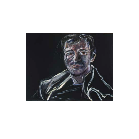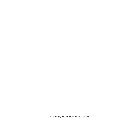5. *Brett Berk*, 2001. Oil on canvas, 28 x 28 inches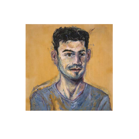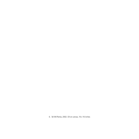6. *Tal McThenia*, 2002. Oil on canvas, 16 x 16 inches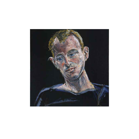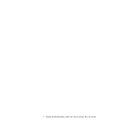7. *Charles & Felix Bernstein*, 2001–02. Oil on canvas, 46 x 32 inches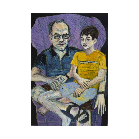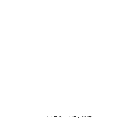8. Eva Sofia Aridjis, 2002. Oil on canvas, 11 x 14½ inches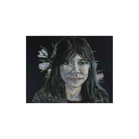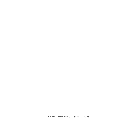9. *Natasha Shapiro*, 2002. Oil on canvas, 70 x 20 inches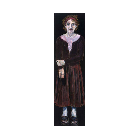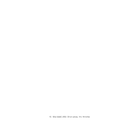10. *Nina Sobell*, 2002. Oil on canvas, 14 x 18 inches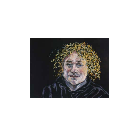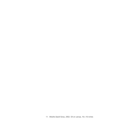11. *Moishe David Gross*, 2002. Oil on canvas, 16 x 16 inches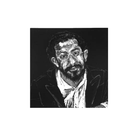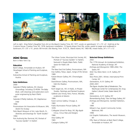

Left to right: *King Fisher's Daughter* from *Art on the Beach,*Creative Time, NY, 1977, acrylic on gatorboard, 12' x 15' x 6'. *Hold-Up* at the Customs House, Creative Time, NY, 1978, bankroom installation, 15 figures drawn from life, onsite, pastel on paper and cardboard in bankroom,10' x 35' x 15', photo: Bill Arnold. *Ella Waving*, from A.R.E.A., Ward's Island, NY, 1983–86, mixed media, 24' x 17' x 12'.

## **Mimi Gross**

Born in New York City

#### **Education**

Bard College, Annandale-on-Hudson, NY Skowhegan School of Painting and Sculpture, MA Kokoschka School of Painting and Sculpture, Austria

#### **Solo Exhibitions**

2000

Salander-O'Reilly Galleries, NY, *Diverse Groundings.* Including CD-ROM: *The Baby Book*, with drawings and watercolors (computer engineering by Nazir Ellahi) 1997 Salander-O'Reilly Galleries, NY, *Diaphanous Leap* 1996 Provincetown Art Association & Museum, MA, *Sketch for Ecstasy* Palm Beach Museum of Art, Lake Worth, FL, *Sketches and Drawings for "Earth Studies"* 1994 Port Authority Bus Terminal, NY, *Portrait of "Success Garden" in Harlem*

The Urban Center, Municipal Arts Society, NY, *Portrait of "Success Garden" in Harlem*, featured in *People Make Parks: Public Space for Public Life* 1991 The New East End Gallery, Provincetown, MA Inax Gallery, Tokyo, Japan, *Songs of the Senses* 1989 Katzen-Brown Gallery, NY, *Chronologies* 1988 David Brown Gallery, Provincetown, MA, *Falls the Shadow* 1986 Ruth Siegel Ltd., NY, *In Public, In Private: Studies, Paintings and Painted Sculpture*  Gallerie Lara Vincey, Paris, France, *Murales, sculptures et dessins* 1984 Karen Lennox Gallery, Chicago, IL 1983 Public Illumination Picture Gallery, NY 1978 Collegiate School for Boys, NY, *Big Apple Circus, Circus Flats and Designs* 1966 Area Gallery, NY 1965 Castagno Gallery, NY

#### **Selected Group Exhibitions**

2002 *The 177th Annual: An Invitational Exhibition*, National Academy of Design, NY *Etchings and Monoprints 1999–2002*, The Space, NY *Wish You Were Here!*, A.I.R. Gallery, NY 2001 *New Prints 2001, Winter*, International Print Center, NY *Generations*, A.I.R. Gallery, NY 2000–2001 *The Figure: Another Side of Modernism*, The Newhouse Center for Contemporary Art, Snug Harbor Cultural Center, Staten Island, NY 2000 *Generations*, A.I.R. Gallery, NY *Remembering Rudy,* Tibor de Nagy Gallery, NY *Etchings and Monoprints,* VanDeb Publishers, NY 1999 *Miriam's Cup*, Jewish Community Center, Baltimore, MD 1998 *List Graphic Publications*, The Jewish Museum, NY *Fifty Years of Women at Bard*, Bard College, Annandale on Hudson, NY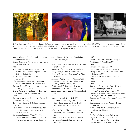

Left to right: *Portrait of 'Success Garden' in Harlem*, 1993 and 94*,* mixed media sculpture installation, 15' x 35' x 25', photo: Maggi Hopp. *Sketch for Ecstacy*, 1996, mixed media sculpture installation, 15' x 35' x 25'. *Parade* for Mixed-Use District, Tribeca, NY (corner, White and Church Sts.), 1990, acrylic and urethane on foam rubber over armatures, five figures, 8' x 4' x 3'.

*Children in Crisis,* Benefit, traveling in select German Museums *Dance Depictions*, The Neuberger Museum of Art, Purchase, NY 1997 *Art & Suitcase (Will Travel)*, Jersey City, NJ; Detroit, Mich.; London, England (1998), Gertrude Stein Gallery (2000). *A.I.R. Generations 25th Anniversary*, A.I.R. Gallery, NY *The Newton—Provincetown Connection*, Newton Museum of Art, Newton, MA *Women Beyond Borders*, ongoing exhibition traveling around the world *Dance Depictions*, installation at Neuberger Museum, S.U.N.Y. Purchase*,* NY 1996 *Women in the Visual Arts*, Hollins College Art Gallery, Roanoke, VA Palm Beach Community College Museum of Art, FL *Town and Country: In Pursuit of Life's Pleasures*, Nassau County Museum of Art, Roslyn Harbor, NY *Invitational/Winners of New York State Council on the Arts Grants in Visual Art*, Delaware Arts Center, Narrowsburg, NY

*Instant Visions*, NY Women's Foundation, Streets of Soho, NY 1995 *Face to Face*, Artists' Portraits of Artists, Gallerie Swan, NY *Gardens of the World*, C.W. Post College, NY *Group Show*, Gallerie Te, Tokyo, Japan *Voices of Conscience: Then and Now*, ACA Galleries *Painting in Poetry, Poetry in Painting: Wallace Stevens and Modern Art*, Sidney Mishkin Gallery, Baruch College, NY *Children in Crisis*, Hamburg, Germany *Design Biennial*, Parrish Art Museum, NY *Art after Art*, Nassau County Museum of Art, NY 1991 *Urban Icons*, Ruth Siegel, Ltd., NY *Intimations of Immortality: The Sculptures of Chaim Gross and Mimi Gross*, The National Jewish Museum, Washington D.C. 1990 *Mixed-Use District*, The Institute for Contemporary Art, The Clocktower Gallery/P.S.1, NY *Theoretical Ideas for the Hudson Waterfront*, Municipal Arts Society, Fashion Institute of

Technology, NY

#### 1987

*The Artful Traveler*, The BMW Gallery, NY *Short Stories*, 7 Penn Plaza, NY 1985 *Harvest*, Ruth Siegel, Ltd., NY *The Subway Show*, Lehman College, NY *History of the Lower East Side*, Henry Street Settlement, NY *Landscapes*, Gracie Mansion Gallery, NY 1984 *Portraits*, P.S.1, NY 1983 *Bodies and Souls*, Artists' Choice Museum, Alex Rosenberg Gallery, NY *The Ritz Hotel Show*, Washington, D.C. *Portraits on a Human Scale*, Whitney Museum of Art, Downtown Branch, NY *Sculpture on Shoreline Sites*, Ward's Island, NY 1982 *Contemporary American Realism*, 1 Penn Plaza, NY *Painted Light*, Artists' Choice Museum, national travelling show 1981 *The Portraits*, Semaphore Gallery, NY *Images of Labor,* National Museum of American History, Washington, D.C. *The Safe Show,* Empire Safe Co., NY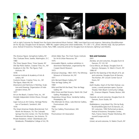

Left to right:Costumes for *Parade* from the Kyoto International Music Festival, 1988, hand dyed lycra and organza. Fabricating *GhostMountain* set for *Sky Eye*, Douglas Dunn & Dancers, 1989–90, copper tubing and cotton bobbinette, 15' x 60' x 15', photo: Monika Vogt. *Sky Eye* performance, festival D'Automne, Pompidou Center, Paris,1989, costumes and set for Douglas Dunn & Dancers; lighting Carol Mullins.

*Artists Make Toys,* The Clock Tower, Institute

*The Anxious Figure*, Semaphore Gallery, NY *The 2 Suitcase Show*, Seattle, Washington, D.C. 1980 *The Times Square Show*, Times Square, NY *Old Slip Police Station*, Creative Time, Inc., NY *Sculpture in the 70s: The Figure*, Pratt Institute, NY 1978 American Institute & Academy of Arts & Letters, NY *Customs House*, Creative Time, Inc., NY *The Figure,* Wave Hill, NY *Dissonance and Harmony in Painting, Sculpture and Drawing*, Organization of Independent Artists, NY 1977 *Art on the Beach*, Creative Time, Inc., NY *Outside Independent Artists Shows*, through 1981 *Cape Cod as an Art Colony*, Heritage Plantation of Sandwich, Sandwich, MA 1976 *The Great American Rodeo Bicentennial*, Fort Worth Art Museum, TX; The Colorado Springs Fine Arts Center, CO; The De Witte Memorial Arts Museum, San Antonio, TX *Private Notations: Artists' Sketchbooks and Notebooks*, Philadelphia College of Art, PA

for Art & Urban Resources, NY 1975 *Immovable Objects*, outdoor exhibition in downtown Manhattan, organized by the Cooper-Hewitt Museum 1973 *American Drawings, 1963–1973*, The Whitney Museum of American Art, NY 1971 John Bernard Meyers Gallery, NY Tibor de Nagy Gallery, NY 1969 *Mimi and Red Hit the Road*, Tibor de Nagy Gallery, NY *Mimi Gross and Red Grooms,* Marlin Mc Cleaf Gallery, Philadelphia, PA *Stupendous Group Show*, Vanderlip Gallery, Philadelphia, PA *The Alternate Six Show*, Jules Brenner Gallery, Provincetown, MA 1958 The Sun Gallery, Provincetown, MA 1957 Provincetown Art Association

#### **Sets and Costumes**

2001

- *Aerobia,* set and costumes, Douglas Dunn & Dancers, P.S 122, NY
- *Cocca Mocca*, set design, Douglas Dunn & Dancers, Danspace, St. Mark's Church, NY 1996–97
- *Spell for the Opening of the Mouth of N*, set and costumes, Douglas Dunn & Dancers, The Kitchen, NY: Lincoln Center Out of Doors, NY

#### 1996

*Earth Studies*, Heart of the Palm Festival, costumes, a world premiere opera. Duncan Theater, Palm Beach Community College,

FL.; Emerson Majestic Theater, Boston, MA 1995

*Caracole*, set and costumes, Douglas Dunn & Dancers, Dunn Studio, NY

#### 1991

*Rubbledance, Long Island City*, Film by Rudy Burckhardt/Douglas Dunn & Dancers, LIC, NY; costumes; 1992 Performed as dance, Festival d'Automne, Pompidou Center, Paris, France; Dance Theater Workshop, NY; toured Europe and US

#### 1990

*Unrest*, set and costumes, St. Marks Church, NY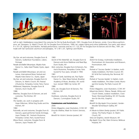

Left to right: *Rubbledance Long Island City* costumes for film by Rudy Burckhardt, 1991, Douglas Dunn & Dancers, onsite. *Cocca Mocca* performance, set, Danspace, St. Mark's Church, NY, for Douglas Dunn & Dancers, 1999, set: copper tubing and cotton bobbinette, four parts, each about 9' x 10' x 8', lighting Carol Mullins. *Aerobia* performance, costumes and set, P. S. 122, NY for Douglas Dunn & Dancers and Jim Neu, 1991, set made with Van Santvoord: aluminum and plexiglass, 14' x 40' x 25', lighting Carol Mullins.

*Sky Eye,* set and costumes, Douglas Dunn & Dancers, Gulbenkian Foundation, Lisbon, Portugal

*Parade and Ballet Mecanique*, Miyako Kato Dance Co., Seibu Seed Theater, Kyoto, Japan

1989

*Parade and Ballet Mecanique*, set and costumes, International Music Festival and Miyako Kato Dance Co., Kyoto, Japan

*Sky Eye,* set and costumes, Douglas Dunn & Dancers, St. Mark's Church, NY; Festival d'Automne, Pompidou Center, Paris, France

*Wildwood, Peepstone*, Douglas Dunn & Dancers, Dunn Studio, NY

1988

*Matches*, Douglas Dunn & Dancers, set and costumes, The Kitchen, NY

1985

*The Garden*, set, work in progress with Hope Gillerman, White Dog Studio and the Kitchen, NY

1984

- *Pulcinella*, set and costumes, Douglas Dunn & Dancers, guest performer Karole Armitage, Joyce Theater, NY; Festival d'Automne, Pompidou Center, Paris; toured France
- *Elbow Room*, costumes, Douglas Dunn & Dancers, Joyce Theater, NY

#### 1983

- *Secret of the Waterfall,* set, Douglas Dunn & Dancers and Anne Waldman and Reed Bye, Dunn Studio, NY
- *Skid*, costumes, Douglas Dunn & Dancers, Festival d'Automne, Pompidou Center, Paris toured for four years, remade in 1992 1981
- *House of Cards,* backdrop set, Paul Taylor Dance Co., New Wave Festival, Brooklyn Academy of Music, Brooklyn, NY; world tour; revived 1988 City Center, NY

#### 1980

*Echo,* set, Douglas Dunn & Dancers, The Kitchen, NY

1978

*Footloose*, costumes, Douglas Dunn & Dancers, Cunningham Studio, NY

#### **Commissions and Installations**

2000

*Fiction Magazine*, cover illustration, CCNY, NY *Encyclia Vitellina*, Mask for Victim's Services, NY

*Benefit for Victim's Services* (poster), NY

#### 1996

*Sketch for Ecstasy,* multimedia installation, Provincetown Art Association and Museum, Provincetown, MA

1994

- *Portrait of 'Success Garden' in Harlem*, multimedia installation, the Parks Council, NY; NY & NJ Port Authority, Bus Terminal, NY 1993
- *Portrait of 'Success Garden' in Harlem*, multimedia installation, The Urban Center, Municipal Arts Society, The Parks Council, NY 1990
- *Fiction Magazine*, cover illustration, CCNY, NY *Mixed-Use District*, *Tribeca; Parade*, White and Church Streets, outdoor installation, Clock Tower; Municipal Building, NY; *NY Foundation for the Arts,* Graphics

#### 1984

*Benefit for Big Apple Circus* (poster), Vander-Woulde Tannenbaum Gallery, NY

#### 1983

- *A Tribute to Edwin Denby* (poster), NY Public Library; The Poetry Project, St. Mark's Church, NY
- *Vera List Graphics,* Jewish Museum, NY
- *Big Apple Circus Flat*, Main Entrance, Bellevue Hospital, NY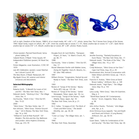

Left to right: *Freedom of the Senses*, 1988-9, oil on mixed media, 44" x 66" x 15", photo: James Dee. The 5 Senses from *Songs of the Senses,* 1993: *Nasal Cavity,* crayon on vellum, 36" x 28"; *Inner Ear,* analine dye on wood, 5' x 10'; *Hand,* analine dye on wood, 51 ⁄2" x 20"; *Optic Nerve:* analine dye on wood, 6'6" x 4'; *Mouth,* analine dye on wood, 28" x 28", photos: Risaku Suzuki.

- *Choice* (poster), Planned Parenthood, Semaphore Gallery, NY
- *Cabaret Room,* O'Neals' Times Square, NY
- *Independent Publishers* (poster), NY Book Fair, NY

*Fiction Magazine*, cover illustration, CCNY, NY 1979

*July 4th Celebration*, (poster), Lower Manhattan Cultural Council, NY

*The New Room*, O'Neals' Restaurant, NY *Big Apple Circus*, NY, exterior and interior entrances and decorations

#### **Selected Bibliography:**

2001

Roberta Smith, "A Benefit for Lovers of Art and NY," *The New York Times*, Nov. 1 Deborah Jowitt, "Working it Out," *The Village Voice*, Dec. 4 Gia Kourlas, "Work it Out," *Time Out NY*, Nov. 15-22 2000 "Mimi Gross," *The New Yorker*, Apr. 17 Ken Johnson, "Mimi Gross: 'Diverse Groundings,'" *Art in Review, The New York Times*, Apr. 14, p. E42 "William B. Scott & Peter Ruckoff." *NY Modern: The Arts and the City*, Baltimore and London: Johns Hopkins University Press, pp. 372–79

Douglas Dunn & Carol Mullins, "Danspace Project, 25 Years," St. Mark's Church, NY, pp. 80, 77.

#### 1998

- Gia Kourlas, "Silver is Golden," *Time Out NY*, Dec. 17
- Muriel Silberstein-Storfer with Mablen Jones, *Doing Art Together*. Harry N. Abrams, Inc., NY. (also 1982 edition).

#### 1997

William Zimmer, "Imagination, Packed Up and Ready to Travel," *The New York Times*, June 1

#### 1993

Review of "Songs of the Senses," *Bijutsu Techo (BT)*, July, pp. 137–38. Review of "Songs of the Senses," *Sankei Newspaper*, Tokyo, Japan, Apr. 18, n.p. June Kunugi, "Songs of the Senses," *Asahi Weekly,* Tokyo, Japan, Apr. 18 *The New York Times*, June 26, p. 21. 1992 Ori Z. Soltes, "A Legacy of Art: The Work of Chaim and Mimi Gross," *The Jewish Monthly*, Jan., pp. 30–34 1991 "Color us Crazy," *The Village Voice*, Jan. 1, n.p. 1990 *The New York Times*, December

#### 1989

Jennifer Dunning, "Painterly Evocations in Dunn Pieces," *The New York Times*, Dec. 17. Deborah Jowitt, "The Rules of the Tribe," *The Village Voice*, Dec. 19, p. 107 1988 Cindy Nickerson, "Mimi Gross on her Own." *Cape Cod Times*, Aug. 20, p. 29. *Provincetown Arts*, Annual (Conversation with Helen Wilson and Mimi Gross), pp. 118–21; 172; 182. Francine A. Koslow, "Mimi Gross at David Brown Gallery," *Artforum*, Nov., p. 149 Deborah Jowitt, "High Flyers," *The Village Voice*, May 19, p. 155 1984 Larry Lundy, "Mimi Gross," *New Art Examiner*, May, p. 3 "World Now Special: NY Contemporary Dance," *So-en*, magazine, Tokyo, Aug., p. 58. 1982 John Arthur Shanks, "Portraits," *Arts Magazine*, Apr., p. 6. Anne Ominous [Lucy Lippard], "Sex and Death and Shock and Schlock: A Long Review," *Artforum*, Oct., pp. 50–55 1981 Susan Slesin, "Safes As Combinations of Art and Security," *The New York Times,* Apr. 30.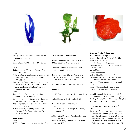





#### 1980

Jeffrey Deitch, "Report from Times Square," *Art in America*, Sept., p. 62. 1977 Judd Tully, *Ruckus Manhattan*, NY, Braziller, 1977. 1976 Robert Hughes, "Gorgeous Parody," *Time*, Jan. 19, p. 72. "The Great American Rodeo," *The Fort Worth Art Museum,* Texas Christian University Press, pp. 30–33, Janet Kutner, "Marcel Duchamp Meets Hank Willimans in Heaven: Fort Worth's Great American Rodeo Exhibition," *Currant*, May–July, pp. 26–37. 1969 Barker, "In the Galleries, Mimi and Red Grooms," *Arts Magazine* John Canaday, Mimi Gross and Red Grooms," *The New York Times,* May 31, p. 19 Peter Schjeldahl, *The New York Times,* June 15, section II, p. 25 David Goodrich, "Anybody Want To Bye Chicago?," *The Saturday Evening Post*, Feb. 8, pp. 36–39

#### **Fellowships**

1995

NY State Council on the Arts/Visual Arts Grant

### Bessie Award/Sets and Costumes 1985 National Endowment for Arts/Visual Arts NY Foundation for the Arts/Painting 1981 American Academy & Institute of Arts & Letters, grant for painting. 1977 National Endowment for the Arts, with Big Apple Circus, NYC, grant for interior and exterior tent entrances decor 1976 Municipal Art Society, for Ruckus Manhattan

#### **Teaching**

1991

1999 S.U.N.Y Purchase, Purchase, NY, Visiting Artist 1995 Penland School of Crafts, Penland, NC 1990 New Arts Program, Kutztown, PA 1984 Rhode Island School of Design, Workshops, Providence, RI 1980 Art Institute of Chicago, Department of Painting, Chicago, IL Syracuse University, Department of Painting, Syracuse, NY

#### **Selected Public Collections**

Art Institute of Chicago, IL Bellevue Hospital, NY, Children's Corridor Brooklyn Museum, NY Fukuoko Bank, Fukuoko, Japan Hirshhorn Museum and Sculpture Garden, Washington, D.C. Jewish Museum, NY Lannon Foundation, FL Metropolitan Museum of Art, NY Musée des Arts Decoratifs, costume and Fashion Collection, Paris, France Museum of Contemporary Art, Los Angeles, CA Nagoya Museum of Art, Nagoya, Japan Onasch Collection, Berlin, Germany

Available through the Robin Hood Relief Fund/Experiments in Art and Technology: *On Site Drawings: 9/11 and After*, 2001, CD-ROM with poetry by Charles Bernstein.

## **Collaborations (with Red Grooms)**

1975–76

*Ruckus Manhattan,* multi-media environmentsculpture installation: sponsored by Creative Time Projects, Inc., Orient Overseas Association, Marlborough Gallery, NY, NY Council on the Arts, and the National Endowment for the Arts. Newspaper, "The